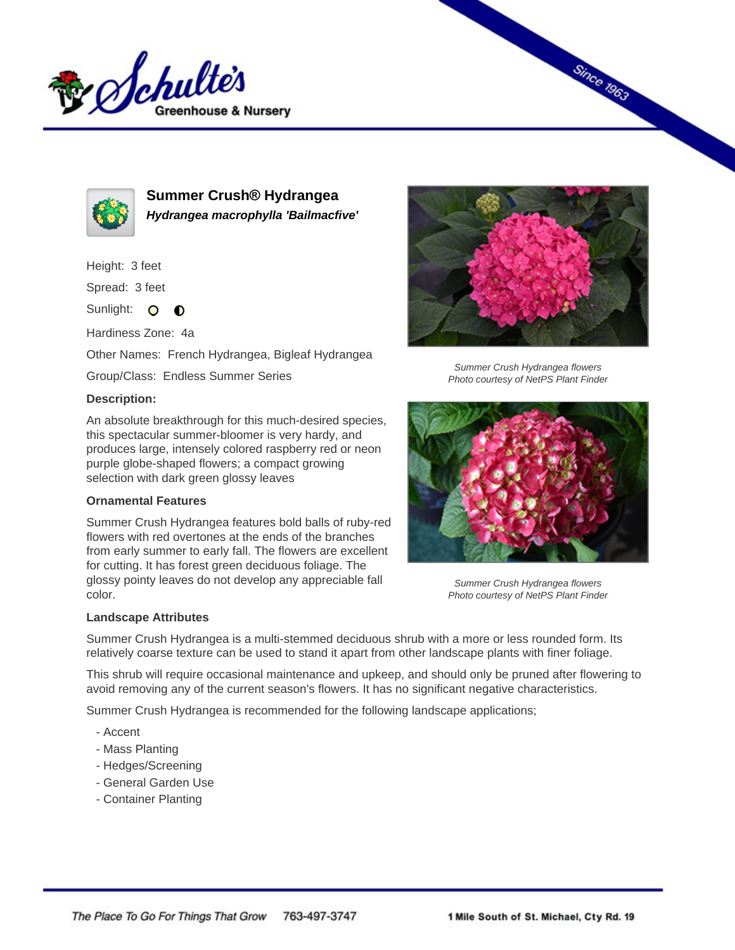



**Summer Crush® Hydrangea Hydrangea macrophylla 'Bailmacfive'**

Height: 3 feet

Spread: 3 feet

Sunlight: O **O** 

Hardiness Zone: 4a

Other Names: French Hydrangea, Bigleaf Hydrangea

Group/Class: Endless Summer Series

## **Description:**

An absolute breakthrough for this much-desired species, this spectacular summer-bloomer is very hardy, and produces large, intensely colored raspberry red or neon purple globe-shaped flowers; a compact growing selection with dark green glossy leaves

## **Ornamental Features**

Summer Crush Hydrangea features bold balls of ruby-red flowers with red overtones at the ends of the branches from early summer to early fall. The flowers are excellent for cutting. It has forest green deciduous foliage. The glossy pointy leaves do not develop any appreciable fall color.



**Since 1963** 

Summer Crush Hydrangea flowers Photo courtesy of NetPS Plant Finder



Summer Crush Hydrangea flowers Photo courtesy of NetPS Plant Finder

## **Landscape Attributes**

Summer Crush Hydrangea is a multi-stemmed deciduous shrub with a more or less rounded form. Its relatively coarse texture can be used to stand it apart from other landscape plants with finer foliage.

This shrub will require occasional maintenance and upkeep, and should only be pruned after flowering to avoid removing any of the current season's flowers. It has no significant negative characteristics.

Summer Crush Hydrangea is recommended for the following landscape applications;

- Accent
- Mass Planting
- Hedges/Screening
- General Garden Use
- Container Planting